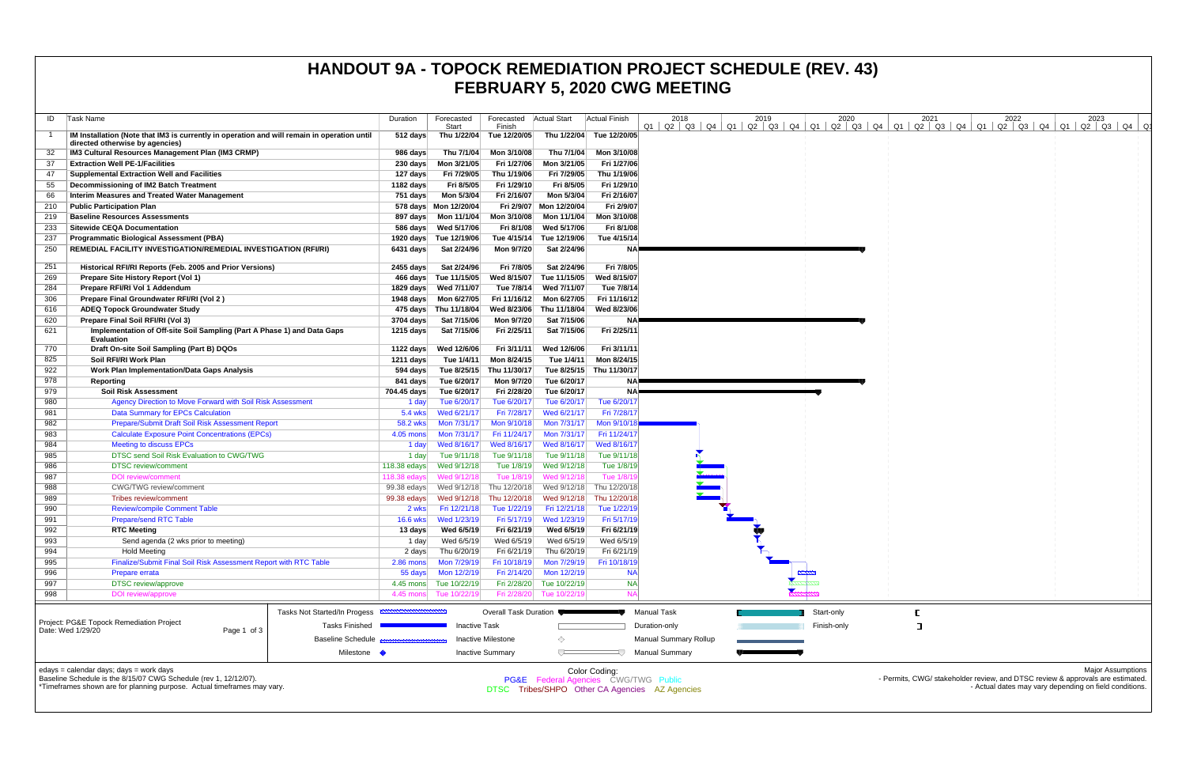| Task Name<br>ID                                                                                                                | Duration                     | Forecasted<br>Start        | Forecasted<br>Finish      | <b>Actual Start</b>        | <b>Actual Finish</b>                                                                              | 2018                         | 2019 | 2020<br>$Q1$   $Q2$   $Q3$   $Q4$   $Q1$   $Q2$   $Q3$   $Q4$   $Q1$   $Q2$   $Q3$   $Q4$   $Q1$ | 2021<br>Q2   Q3   Q4   Q1 | 2022 | 2023<br>Q2   Q3   Q4   Q1   Q2   Q3   Q4                                                                   |
|--------------------------------------------------------------------------------------------------------------------------------|------------------------------|----------------------------|---------------------------|----------------------------|---------------------------------------------------------------------------------------------------|------------------------------|------|--------------------------------------------------------------------------------------------------|---------------------------|------|------------------------------------------------------------------------------------------------------------|
| IM Installation (Note that IM3 is currently in operation and will remain in operation until<br>directed otherwise by agencies) | 512 days                     |                            | Thu 1/22/04 Tue 12/20/05  | Thu 1/22/04                | Tue 12/20/05                                                                                      |                              |      |                                                                                                  |                           |      |                                                                                                            |
| IM3 Cultural Resources Management Plan (IM3 CRMP)                                                                              | 986 days                     | Thu 7/1/04                 | Mon 3/10/08               | Thu 7/1/04                 | Mon 3/10/08                                                                                       |                              |      |                                                                                                  |                           |      |                                                                                                            |
| <b>Extraction Well PE-1/Facilities</b><br>-37                                                                                  | 230 days                     | Mon 3/21/05                | Fri 1/27/06               | Mon 3/21/05                | Fri 1/27/06                                                                                       |                              |      |                                                                                                  |                           |      |                                                                                                            |
| <b>Supplemental Extraction Well and Facilities</b><br>47                                                                       | 127 days                     | Fri 7/29/05                | Thu 1/19/06               | Fri 7/29/05                | Thu 1/19/06                                                                                       |                              |      |                                                                                                  |                           |      |                                                                                                            |
| Decommissioning of IM2 Batch Treatment<br>55                                                                                   | 1182 days                    | Fri 8/5/05                 | Fri 1/29/10               | Fri 8/5/05                 | Fri 1/29/10                                                                                       |                              |      |                                                                                                  |                           |      |                                                                                                            |
| <b>Interim Measures and Treated Water Management</b><br>66                                                                     | 751 days                     | Mon 5/3/04                 | Fri 2/16/07               | Mon 5/3/04                 | Fri 2/16/07                                                                                       |                              |      |                                                                                                  |                           |      |                                                                                                            |
| <b>Public Participation Plan</b><br>210                                                                                        |                              | 578 days Mon 12/20/04      |                           | Fri 2/9/07 Mon 12/20/04    | Fri 2/9/07                                                                                        |                              |      |                                                                                                  |                           |      |                                                                                                            |
| <b>Baseline Resources Assessments</b><br>219                                                                                   | 897 days                     | Mon 11/1/04                | Mon 3/10/08               | Mon 11/1/04                | Mon 3/10/08                                                                                       |                              |      |                                                                                                  |                           |      |                                                                                                            |
| <b>Sitewide CEQA Documentation</b><br>233                                                                                      | 586 days                     | Wed 5/17/06                | Fri 8/1/08                | Wed 5/17/06                | Fri 8/1/08                                                                                        |                              |      |                                                                                                  |                           |      |                                                                                                            |
| <b>Programmatic Biological Assessment (PBA)</b><br>237                                                                         | 1920 days                    | Tue 12/19/06               | Tue 4/15/14               | Tue 12/19/06               | Tue 4/15/14                                                                                       |                              |      |                                                                                                  |                           |      |                                                                                                            |
| REMEDIAL FACILITY INVESTIGATION/REMEDIAL INVESTIGATION (RFI/RI)<br>250                                                         | $6431$ days                  | Sat 2/24/96                | Mon 9/7/20                | Sat 2/24/96                | <b>NA</b>                                                                                         |                              |      |                                                                                                  |                           |      |                                                                                                            |
| 251<br>Historical RFI/RI Reports (Feb. 2005 and Prior Versions)                                                                | 2455 days                    | Sat 2/24/96                | Fri 7/8/05                | Sat 2/24/96                | Fri 7/8/05                                                                                        |                              |      |                                                                                                  |                           |      |                                                                                                            |
| Prepare Site History Report (Vol 1)<br>269                                                                                     | 466 days                     | Tue 11/15/05               | Wed 8/15/07               | Tue 11/15/05               | Wed 8/15/07                                                                                       |                              |      |                                                                                                  |                           |      |                                                                                                            |
| 284<br>Prepare RFI/RI Vol 1 Addendum                                                                                           | 1829 days                    | Wed 7/11/07                | Tue 7/8/14                | Wed 7/11/07                | Tue 7/8/14                                                                                        |                              |      |                                                                                                  |                           |      |                                                                                                            |
| 306<br>Prepare Final Groundwater RFI/RI (Vol 2)                                                                                |                              | 1948 days    Mon 6/27/05   | Fri 11/16/12              | Mon 6/27/05                | Fri 11/16/12                                                                                      |                              |      |                                                                                                  |                           |      |                                                                                                            |
| <b>ADEQ Topock Groundwater Study</b><br>616                                                                                    |                              | 475 days Thu 11/18/04      | Wed 8/23/06               | Thu 11/18/04               | Wed 8/23/06                                                                                       |                              |      |                                                                                                  |                           |      |                                                                                                            |
| 620<br>Prepare Final Soil RFI/RI (Vol 3)                                                                                       | 3704 days                    | Sat 7/15/06                | Mon 9/7/20                | Sat 7/15/06                | NA!                                                                                               |                              |      |                                                                                                  |                           |      |                                                                                                            |
| 621<br>Implementation of Off-site Soil Sampling (Part A Phase 1) and Data Gaps<br><b>Evaluation</b>                            | 1215 days                    | Sat 7/15/06                | Fri 2/25/11               | Sat 7/15/06                | Fri 2/25/11                                                                                       |                              |      |                                                                                                  |                           |      |                                                                                                            |
| 770<br>Draft On-site Soil Sampling (Part B) DQOs                                                                               | 1122 days                    | Wed 12/6/06                | Fri 3/11/11               | Wed 12/6/06                | Fri 3/11/11                                                                                       |                              |      |                                                                                                  |                           |      |                                                                                                            |
| 825<br>Soil RFI/RI Work Plan                                                                                                   | 1211 days                    | Tue 1/4/11                 | Mon 8/24/15               | Tue 1/4/11                 | Mon 8/24/15                                                                                       |                              |      |                                                                                                  |                           |      |                                                                                                            |
| 922<br><b>Work Plan Implementation/Data Gaps Analysis</b>                                                                      | 594 days                     | Tue 8/25/15                | Thu 11/30/17              |                            | Tue 8/25/15 Thu 11/30/17                                                                          |                              |      |                                                                                                  |                           |      |                                                                                                            |
| 978<br>Reporting                                                                                                               | 841 days                     | Tue 6/20/17                | Mon 9/7/20                | Tue 6/20/17                | NA!                                                                                               |                              |      |                                                                                                  |                           |      |                                                                                                            |
| 979<br><b>Soil Risk Assessment</b>                                                                                             | 704.45 days                  | Tue 6/20/17                | Fri 2/28/20               | Tue 6/20/17                | <b>NA</b>                                                                                         |                              |      |                                                                                                  |                           |      |                                                                                                            |
| Agency Direction to Move Forward with Soil Risk Assessment<br>980                                                              | 1 day                        | Tue 6/20/17                | Tue 6/20/17               | Tue 6/20/17                | Tue 6/20/17                                                                                       |                              |      |                                                                                                  |                           |      |                                                                                                            |
| 981<br><b>Data Summary for EPCs Calculation</b>                                                                                | 5.4 wks                      | Wed 6/21/17                | Fri 7/28/17               | Wed 6/21/17                | Fri 7/28/17                                                                                       |                              |      |                                                                                                  |                           |      |                                                                                                            |
| Prepare/Submit Draft Soil Risk Assessment Report<br>982                                                                        | 58.2 wks                     | Mon 7/31/17                | Mon 9/10/18               | Mon 7/31/17                | Mon 9/10/1                                                                                        |                              |      |                                                                                                  |                           |      |                                                                                                            |
| <b>Calculate Exposure Point Concentrations (EPCs)</b><br>983                                                                   | 4.05 mons                    | Mon 7/31/17                | Fri 11/24/17              | Mon 7/31/17                | Fri 11/24/17                                                                                      |                              |      |                                                                                                  |                           |      |                                                                                                            |
| 984<br><b>Meeting to discuss EPCs</b>                                                                                          | 1 day                        | Wed 8/16/17                | Wed 8/16/17               | Wed 8/16/17                | Wed 8/16/17                                                                                       |                              |      |                                                                                                  |                           |      |                                                                                                            |
| DTSC send Soil Risk Evaluation to CWG/TWG<br>985                                                                               | 1 day                        | Tue 9/11/18                | Tue 9/11/18               | Tue 9/11/18                | Tue 9/11/18                                                                                       |                              |      |                                                                                                  |                           |      |                                                                                                            |
| 986<br><b>DTSC</b> review/comment<br>987<br><b>DOI</b> review/comment                                                          | 118.38 edays<br>118.38 edays | Wed 9/12/18<br>Wed 9/12/18 | Tue 1/8/19<br>Tue 1/8/19  | Wed 9/12/18<br>Wed 9/12/18 | Tue 1/8/19<br>Tue 1/8/1                                                                           |                              |      |                                                                                                  |                           |      |                                                                                                            |
| 988<br><b>CWG/TWG</b> review/comment                                                                                           | 99.38 edays                  | Wed 9/12/18                | Thu 12/20/18              |                            | Wed 9/12/18 Thu 12/20/18                                                                          |                              |      |                                                                                                  |                           |      |                                                                                                            |
| 989<br>Tribes review/comment                                                                                                   | 99.38 edays                  | Wed 9/12/18                | Thu 12/20/18              | Wed 9/12/18                | Thu 12/20/18                                                                                      |                              |      |                                                                                                  |                           |      |                                                                                                            |
| 990<br><b>Review/compile Comment Table</b>                                                                                     | 2 wks                        | Fri 12/21/18               | Tue 1/22/19               | Fri 12/21/18               | Tue 1/22/19                                                                                       |                              |      |                                                                                                  |                           |      |                                                                                                            |
| <b>Prepare/send RTC Table</b><br>991                                                                                           | $16.6$ wks                   | Wed 1/23/19                | Fri 5/17/19               | Wed 1/23/19                | Fri 5/17/19                                                                                       |                              |      |                                                                                                  |                           |      |                                                                                                            |
| 992<br><b>RTC Meeting</b>                                                                                                      | 13 days                      | Wed 6/5/19                 | Fri 6/21/19               | Wed 6/5/19                 | Fri 6/21/19                                                                                       |                              |      |                                                                                                  |                           |      |                                                                                                            |
| 993<br>Send agenda (2 wks prior to meeting)                                                                                    | 1 day                        | Wed 6/5/19                 | Wed 6/5/19                | Wed 6/5/19                 | Wed 6/5/19                                                                                        |                              |      |                                                                                                  |                           |      |                                                                                                            |
| 994<br><b>Hold Meeting</b>                                                                                                     | 2 days                       | Thu 6/20/19                | Fri 6/21/19               | Thu 6/20/19                | Fri 6/21/19                                                                                       |                              |      |                                                                                                  |                           |      |                                                                                                            |
| 995<br>Finalize/Submit Final Soil Risk Assessment Report with RTC Table                                                        | 2.86 mons                    | Mon 7/29/19                | Fri 10/18/19              | Mon 7/29/19                | Fri 10/18/19                                                                                      |                              |      |                                                                                                  |                           |      |                                                                                                            |
| 996<br>Prepare errata                                                                                                          | 55 days                      | Mon 12/2/19                | Fri 2/14/20               | Mon 12/2/19                | <b>NA</b>                                                                                         |                              |      |                                                                                                  |                           |      |                                                                                                            |
| 997<br><b>DTSC</b> review/approve                                                                                              |                              | 4.45 mons Tue 10/22/19     |                           | Fri 2/28/20 Tue 10/22/19   | <b>NA</b>                                                                                         |                              |      |                                                                                                  |                           |      |                                                                                                            |
| 998<br><b>DOI</b> review/approve                                                                                               | 4.45 mons                    | Tue 10/22/19               | Fri 2/28/20               | Tue 10/22/19               | <b>NA</b>                                                                                         |                              |      |                                                                                                  |                           |      |                                                                                                            |
| Tasks Not Started/In Progess                                                                                                   |                              |                            | Overall Task Duration     |                            |                                                                                                   | <b>Manual Task</b>           |      | Start-only                                                                                       |                           |      |                                                                                                            |
| Project: PG&E Topock Remediation Project<br><b>Tasks Finished</b>                                                              |                              | <b>Inactive Task</b>       |                           |                            |                                                                                                   | Duration-only                |      | Finish-only                                                                                      |                           |      |                                                                                                            |
| Date: Wed 1/29/20<br>Page 1 of 3<br><b>Baseline Schedule</b>                                                                   |                              |                            | <b>Inactive Milestone</b> | ◇                          |                                                                                                   | <b>Manual Summary Rollup</b> |      |                                                                                                  |                           |      |                                                                                                            |
| Milestone •                                                                                                                    |                              |                            | <b>Inactive Summary</b>   |                            |                                                                                                   | <b>Manual Summary</b>        |      |                                                                                                  |                           |      |                                                                                                            |
|                                                                                                                                |                              |                            |                           |                            |                                                                                                   |                              |      |                                                                                                  |                           |      |                                                                                                            |
| edays = calendar days; days = work days<br>Baseline Schedule is the 8/15/07 CWG Schedule (rev 1, 12/12/07).                    |                              |                            |                           |                            | Color Coding:                                                                                     |                              |      |                                                                                                  |                           |      | <b>Major Assumptions</b><br>- Permits, CWG/ stakeholder review, and DTSC review & approvals are estimated. |
| *Timeframes shown are for planning purpose. Actual timeframes may vary.                                                        |                              |                            |                           |                            | <b>PG&amp;E</b> Federal Agencies CWG/TWG Public<br>DTSC Tribes/SHPO Other CA Agencies AZ Agencies |                              |      |                                                                                                  |                           |      | - Actual dates may vary depending on field conditions.                                                     |
|                                                                                                                                |                              |                            |                           |                            |                                                                                                   |                              |      |                                                                                                  |                           |      |                                                                                                            |
|                                                                                                                                |                              |                            |                           |                            |                                                                                                   |                              |      |                                                                                                  |                           |      |                                                                                                            |

## **HANDOUT 9A - TOPOCK REMEDIATION PROJECT SCHEDULE (REV. 43) FEBRUARY 5, 2020 CWG MEETING**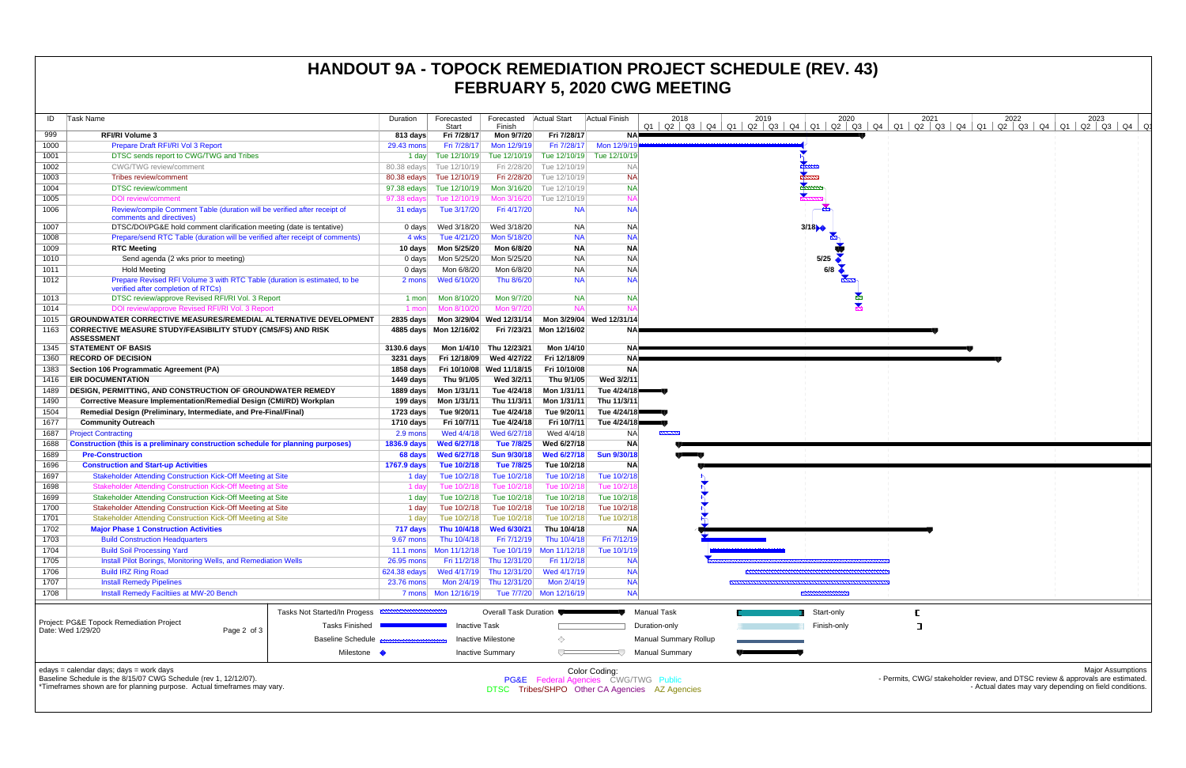| ID           | Task Name                                                                                                                                                                              | Duration           | Forecasted<br>Start        | Forecasted   Actual Start<br>Finish |                                     | <b>Actual Finish</b>                                                                                    | 2018<br>2019<br>$Q1$   $Q2$   $Q3$   $Q4$   $Q1$   $Q2$   $Q3$   $Q4$   $Q1$   $Q2$   $Q3$   $Q4$   $Q1$   $Q2$   $Q3$   $Q4$   $Q1$ | 2020        | 2021 | 2023<br>2022<br>Q2   Q3   Q4   Q1   Q2   Q3   Q4   Q1                                                                                                                |
|--------------|----------------------------------------------------------------------------------------------------------------------------------------------------------------------------------------|--------------------|----------------------------|-------------------------------------|-------------------------------------|---------------------------------------------------------------------------------------------------------|--------------------------------------------------------------------------------------------------------------------------------------|-------------|------|----------------------------------------------------------------------------------------------------------------------------------------------------------------------|
| 999          | <b>RFI/RI Volume 3</b>                                                                                                                                                                 | 813 days           | Fri 7/28/17                | Mon 9/7/20                          | Fri 7/28/17                         | NA                                                                                                      |                                                                                                                                      |             |      |                                                                                                                                                                      |
| 1000         | Prepare Draft RFI/RI Vol 3 Report                                                                                                                                                      | 29.43 mons         | Fri 7/28/17                | Mon 12/9/19                         | Fri 7/28/17                         | Mon 12/9/19                                                                                             |                                                                                                                                      |             |      |                                                                                                                                                                      |
| 1001         | DTSC sends report to CWG/TWG and Tribes                                                                                                                                                | 1 day              | Tue 12/10/19               |                                     | Tue 12/10/19 Tue 12/10/19           | Tue 12/10/19                                                                                            |                                                                                                                                      |             |      |                                                                                                                                                                      |
| 1002         | <b>CWG/TWG</b> review/comment                                                                                                                                                          | 80.38 edays        | Tue 12/10/19               | Fri 2/28/20                         | Tue 12/10/19                        | <b>NA</b>                                                                                               |                                                                                                                                      |             |      |                                                                                                                                                                      |
| 1003         | Tribes review/comment                                                                                                                                                                  |                    | 80.38 edays Tue 12/10/19   |                                     | Fri 2/28/20 Tue 12/10/19            | <b>NA</b>                                                                                               | <b>Summer</b>                                                                                                                        |             |      |                                                                                                                                                                      |
| 1004         | <b>DTSC</b> review/comment                                                                                                                                                             |                    | 97.38 edays Tue 12/10/19   |                                     | Mon 3/16/20 Tue 12/10/19            | <b>NA</b>                                                                                               |                                                                                                                                      |             |      |                                                                                                                                                                      |
| 1005         | <b>DOI</b> review/comment                                                                                                                                                              | 97.38 edays        | Tue 12/10/19               |                                     | Mon 3/16/20 Tue 12/10/19            | <b>NA</b>                                                                                               |                                                                                                                                      |             |      |                                                                                                                                                                      |
| 1006         | Review/compile Comment Table (duration will be verified after receipt of<br>comments and directives)                                                                                   | 31 edays           | Tue 3/17/20                | Fri 4/17/20                         | <b>NA</b>                           | <b>NA</b>                                                                                               |                                                                                                                                      |             |      |                                                                                                                                                                      |
| 1007         | DTSC/DOI/PG&E hold comment clarification meeting (date is tentative)                                                                                                                   | 0 days             | Wed 3/18/20                | Wed 3/18/20                         | NA                                  | NA                                                                                                      | 3/18                                                                                                                                 |             |      |                                                                                                                                                                      |
| 1008         | Prepare/send RTC Table (duration will be verified after receipt of comments)                                                                                                           | 4 wks              | Tue 4/21/20                | Mon 5/18/20                         | <b>NA</b>                           | <b>NA</b>                                                                                               |                                                                                                                                      |             |      |                                                                                                                                                                      |
| 1009         | <b>RTC Meeting</b>                                                                                                                                                                     | 10 days            | Mon 5/25/20                | Mon 6/8/20                          | <b>NA</b>                           | <b>NA</b>                                                                                               |                                                                                                                                      |             |      |                                                                                                                                                                      |
| 1010         | Send agenda (2 wks prior to meeting)                                                                                                                                                   | 0 days             | Mon 5/25/20                | Mon 5/25/20                         | <b>NA</b>                           | <b>NA</b>                                                                                               |                                                                                                                                      | 5/25        |      |                                                                                                                                                                      |
| 1011         | <b>Hold Meeting</b>                                                                                                                                                                    | 0 days             | Mon 6/8/20                 | Mon 6/8/20                          | <b>NA</b>                           | <b>NA</b>                                                                                               |                                                                                                                                      | 6/8         |      |                                                                                                                                                                      |
| 1012         | Prepare Revised RFI Volume 3 with RTC Table (duration is estimated, to be<br>verified after completion of RTCs)                                                                        | 2 mons             | Wed 6/10/20                | Thu 8/6/20                          | <b>NA</b>                           | <b>NA</b>                                                                                               |                                                                                                                                      |             |      |                                                                                                                                                                      |
| 1013         | DTSC review/approve Revised RFI/RI Vol. 3 Report                                                                                                                                       | 1 mon              | Mon 8/10/20                | Mon 9/7/20                          | <b>NA</b>                           | <b>NA</b>                                                                                               |                                                                                                                                      |             |      |                                                                                                                                                                      |
| 1014         | DOI review/approve Revised RFI/RI Vol. 3 Report                                                                                                                                        | 1 mon              | Mon 8/10/20                | Mon 9/7/20                          | <b>NA</b>                           |                                                                                                         |                                                                                                                                      |             |      |                                                                                                                                                                      |
| 1015         | GROUNDWATER CORRECTIVE MEASURES/REMEDIAL ALTERNATIVE DEVELOPMENT                                                                                                                       | 2835 days          |                            | Mon 3/29/04 Wed 12/31/14            |                                     | Mon 3/29/04 Wed 12/31/14                                                                                |                                                                                                                                      |             |      |                                                                                                                                                                      |
| 1163         | <b>CORRECTIVE MEASURE STUDY/FEASIBILITY STUDY (CMS/FS) AND RISK</b><br><b>ASSESSMENT</b>                                                                                               |                    | 4885 days Mon 12/16/02     |                                     | Fri 7/23/21 Mon 12/16/02            | NA!                                                                                                     |                                                                                                                                      |             |      |                                                                                                                                                                      |
| 1345         | <b>STATEMENT OF BASIS</b>                                                                                                                                                              | 3130.6 days        | Mon 1/4/10                 | Thu 12/23/21                        | Mon 1/4/10                          | NAP                                                                                                     |                                                                                                                                      |             |      |                                                                                                                                                                      |
| 1360         | <b>RECORD OF DECISION</b>                                                                                                                                                              | 3231 days          | Fri 12/18/09               | Wed 4/27/22                         | Fri 12/18/09                        | <b>NA</b>                                                                                               |                                                                                                                                      |             |      |                                                                                                                                                                      |
| 1383         | Section 106 Programmatic Agreement (PA)                                                                                                                                                | 1858 days          |                            | Fri 10/10/08 Wed 11/18/15           | Fri 10/10/08                        | <b>NA</b>                                                                                               |                                                                                                                                      |             |      |                                                                                                                                                                      |
| 1416         | <b>EIR DOCUMENTATION</b>                                                                                                                                                               | 1449 days          | Thu 9/1/05                 | Wed 3/2/11                          | Thu 9/1/05                          | Wed 3/2/11                                                                                              |                                                                                                                                      |             |      |                                                                                                                                                                      |
| 1489         | <b>DESIGN, PERMITTING, AND CONSTRUCTION OF GROUNDWATER REMEDY</b>                                                                                                                      | 1889 days          | Mon 1/31/11                | Tue 4/24/18                         | Mon 1/31/11                         | Tue 4/24/18                                                                                             |                                                                                                                                      |             |      |                                                                                                                                                                      |
| 1490         | Corrective Measure Implementation/Remedial Design (CMI/RD) Workplan                                                                                                                    |                    | 199 days    Mon 1/31/11    | Thu 11/3/11                         | Mon 1/31/11                         | Thu 11/3/11                                                                                             |                                                                                                                                      |             |      |                                                                                                                                                                      |
| 1504         | Remedial Design (Preliminary, Intermediate, and Pre-Final/Final)                                                                                                                       | 1723 days          | Tue 9/20/11                | Tue 4/24/18                         | Tue 9/20/11                         | Tue 4/24/18                                                                                             |                                                                                                                                      |             |      |                                                                                                                                                                      |
| 1677         | <b>Community Outreach</b>                                                                                                                                                              | 1710 days          | Fri 10/7/11                | Tue 4/24/18                         | Fri 10/7/11                         | Tue 4/24/18                                                                                             |                                                                                                                                      |             |      |                                                                                                                                                                      |
| 1687         | <b>Project Contracting</b>                                                                                                                                                             | 2.9 mons           | Wed 4/4/18                 | Wed 6/27/18                         | Wed 4/4/18                          | NA                                                                                                      | ,,,,,,,,,                                                                                                                            |             |      |                                                                                                                                                                      |
| 1688         | Construction (this is a preliminary construction schedule for planning purposes)                                                                                                       | <b>1836.9 days</b> | Wed 6/27/18                | Tue 7/8/25                          | Wed 6/27/18                         | <b>NA</b>                                                                                               |                                                                                                                                      |             |      |                                                                                                                                                                      |
| 1689         | <b>Pre-Construction</b>                                                                                                                                                                | 68 days            | <b>Wed 6/27/18</b>         | <b>Sun 9/30/18</b>                  | <b>Wed 6/27/18</b>                  | <b>Sun 9/30/18</b>                                                                                      |                                                                                                                                      |             |      |                                                                                                                                                                      |
| 1696         | <b>Construction and Start-up Activities</b><br>Stakeholder Attending Construction Kick-Off Meeting at Site                                                                             | 1767.9 days        | Tue 10/2/18                | Tue 7/8/25<br>Tue 10/2/18           | Tue 10/2/18<br>Tue 10/2/18          | <b>NA</b>                                                                                               |                                                                                                                                      |             |      |                                                                                                                                                                      |
| 1697<br>1698 | Stakeholder Attending Construction Kick-Off Meeting at Site                                                                                                                            | 1 day<br>1 day     | Tue 10/2/18<br>Tue 10/2/18 | Tue 10/2/18                         | Tue 10/2/18                         | Tue 10/2/18<br>Tue 10/2/1                                                                               |                                                                                                                                      |             |      |                                                                                                                                                                      |
| 1699         | Stakeholder Attending Construction Kick-Off Meeting at Site                                                                                                                            | 1 day              | Tue 10/2/18                | Tue 10/2/18                         | Tue 10/2/18                         | Tue 10/2/18                                                                                             |                                                                                                                                      |             |      |                                                                                                                                                                      |
| 1700         | Stakeholder Attending Construction Kick-Off Meeting at Site                                                                                                                            | 1 day              | Tue 10/2/18                | Tue 10/2/18                         | Tue 10/2/18                         | Tue 10/2/18                                                                                             |                                                                                                                                      |             |      |                                                                                                                                                                      |
| 1701         | Stakeholder Attending Construction Kick-Off Meeting at Site                                                                                                                            | 1 day              | Tue 10/2/18                | Tue 10/2/18                         | Tue 10/2/18                         | Tue 10/2/18                                                                                             |                                                                                                                                      |             |      |                                                                                                                                                                      |
| 1702         | <b>Major Phase 1 Construction Activities</b>                                                                                                                                           | 717 days           |                            |                                     | Thu 10/4/18 Wed 6/30/21 Thu 10/4/18 | <b>NA</b>                                                                                               |                                                                                                                                      |             |      |                                                                                                                                                                      |
| 1703         | <b>Build Construction Headquarters</b>                                                                                                                                                 | 9.67 mons          | Thu 10/4/18                | Fri 7/12/19                         | Thu 10/4/18                         | Fri 7/12/19                                                                                             |                                                                                                                                      |             |      |                                                                                                                                                                      |
| 1704         | <b>Build Soil Processing Yard</b>                                                                                                                                                      | $11.1 \text{ mon}$ | Mon 11/12/18               | Tue 10/1/19                         | Mon 11/12/18                        | Tue 10/1/19                                                                                             |                                                                                                                                      |             |      |                                                                                                                                                                      |
| 1705         | <b>Install Pilot Borings, Monitoring Wells, and Remediation Wells</b>                                                                                                                  | 26.95 mons         | Fri 11/2/18                | Thu 12/31/20                        | Fri 11/2/18                         | <b>NA</b>                                                                                               |                                                                                                                                      |             |      |                                                                                                                                                                      |
| 1706         | <b>Build IRZ Ring Road</b>                                                                                                                                                             | 624.38 edays       |                            | Wed 4/17/19 Thu 12/31/20            | Wed 4/17/19                         | <b>NA</b>                                                                                               |                                                                                                                                      |             |      |                                                                                                                                                                      |
| 1707         | <b>Install Remedy Pipelines</b>                                                                                                                                                        | 23.76 mons         | Mon 2/4/19                 | Thu 12/31/20                        | Mon 2/4/19                          | <b>NA</b>                                                                                               |                                                                                                                                      |             |      |                                                                                                                                                                      |
| 1708         | Install Remedy Faciltiies at MW-20 Bench                                                                                                                                               |                    |                            |                                     | Tue 7/7/20 Mon 12/16/19             | <b>NA</b>                                                                                               |                                                                                                                                      |             |      |                                                                                                                                                                      |
|              | Tasks Not Started/In Progess                                                                                                                                                           |                    |                            | Overall Task Duration               |                                     | Manual Task                                                                                             |                                                                                                                                      | Start-only  |      |                                                                                                                                                                      |
|              | Project: PG&E Topock Remediation Project<br>Tasks Finished                                                                                                                             |                    | <b>Inactive Task</b>       |                                     |                                     |                                                                                                         | Duration-only                                                                                                                        | Finish-only | ा    |                                                                                                                                                                      |
|              | Date: Wed 1/29/20<br>Page 2 of 3<br><b>Baseline Schedule</b>                                                                                                                           |                    |                            | Inactive Milestone                  | ◇                                   |                                                                                                         | <b>Manual Summary Rollup</b>                                                                                                         |             |      |                                                                                                                                                                      |
|              | Milestone •                                                                                                                                                                            |                    |                            | <b>Inactive Summary</b>             | $\overline{ }$                      |                                                                                                         | <b>Manual Summary</b>                                                                                                                |             |      |                                                                                                                                                                      |
|              | edays = calendar days; days = work days<br>Baseline Schedule is the 8/15/07 CWG Schedule (rev 1, 12/12/07).<br>*Timeframes shown are for planning purpose. Actual timeframes may vary. |                    |                            |                                     |                                     | Color Coding:<br>PG&E Federal Agencies CWG/TWG Public<br>DTSC Tribes/SHPO Other CA Agencies AZ Agencies |                                                                                                                                      |             |      | <b>Major Assumptions</b><br>- Permits, CWG/ stakeholder review, and DTSC review & approvals are estimated.<br>- Actual dates may vary depending on field conditions. |

## **HANDOUT 9A - TOPOCK REMEDIATION PROJECT SCHEDULE (REV. 43) FEBRUARY 5, 2020 CWG MEETING**